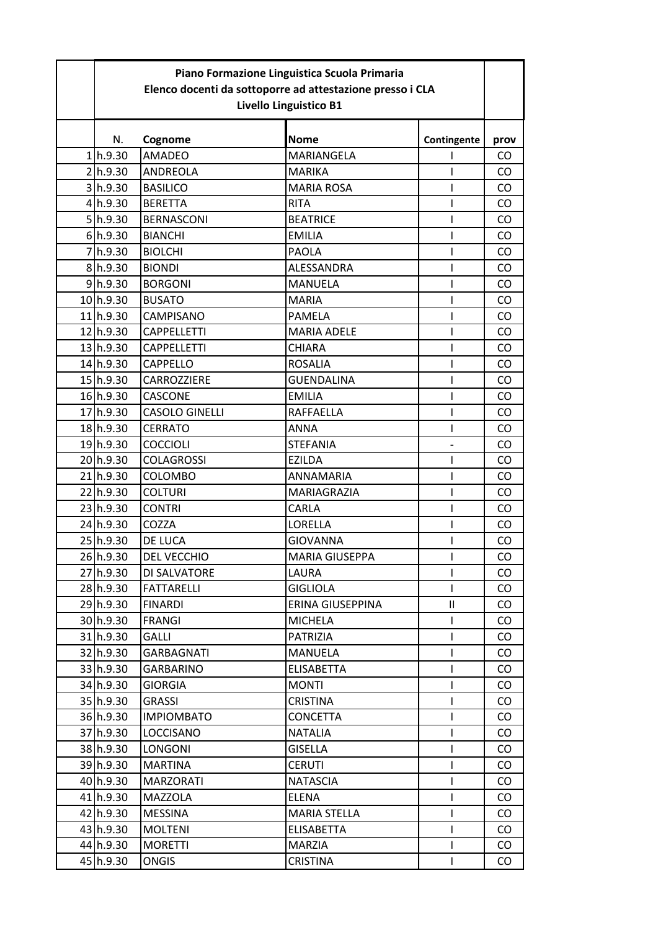| Piano Formazione Linguistica Scuola Primaria<br>Elenco docenti da sottoporre ad attestazione presso i CLA<br>Livello Linguistico B1 |                       |                       |             |               |  |
|-------------------------------------------------------------------------------------------------------------------------------------|-----------------------|-----------------------|-------------|---------------|--|
| N.                                                                                                                                  | Cognome               | <b>Nome</b>           | Contingente | prov          |  |
| 1 h.9.30                                                                                                                            | <b>AMADEO</b>         | MARIANGELA            |             | CO            |  |
| 2h.9.30                                                                                                                             | <b>ANDREOLA</b>       | <b>MARIKA</b>         |             | CO.           |  |
| 3 h.9.30                                                                                                                            | <b>BASILICO</b>       | <b>MARIA ROSA</b>     |             | CO            |  |
| 4 h.9.30                                                                                                                            | <b>BERETTA</b>        | <b>RITA</b>           |             | CO            |  |
| 5 h.9.30                                                                                                                            | <b>BERNASCONI</b>     | <b>BEATRICE</b>       |             | CO            |  |
| 6 h.9.30                                                                                                                            | <b>BIANCHI</b>        | <b>EMILIA</b>         |             | CO            |  |
| 7h.9.30                                                                                                                             | <b>BIOLCHI</b>        | <b>PAOLA</b>          | ı           | CO            |  |
| 8 h.9.30                                                                                                                            | <b>BIONDI</b>         | ALESSANDRA            |             | CO            |  |
| 9 h.9.30                                                                                                                            | <b>BORGONI</b>        | <b>MANUELA</b>        |             | CO            |  |
| 10h.9.30                                                                                                                            | <b>BUSATO</b>         | <b>MARIA</b>          |             | CO            |  |
| 11 <sub>h.9.30</sub>                                                                                                                | CAMPISANO             | PAMELA                |             | CO            |  |
| 12 h.9.30                                                                                                                           | <b>CAPPELLETTI</b>    | <b>MARIA ADELE</b>    |             | CO            |  |
| 13 h.9.30                                                                                                                           | <b>CAPPELLETTI</b>    | <b>CHIARA</b>         |             | CO            |  |
| 14h.9.30                                                                                                                            | <b>CAPPELLO</b>       | <b>ROSALIA</b>        |             | CO.           |  |
| 15 h.9.30                                                                                                                           | <b>CARROZZIERE</b>    | <b>GUENDALINA</b>     |             | CO            |  |
| 16h.9.30                                                                                                                            | CASCONE               | <b>EMILIA</b>         |             | CO            |  |
| 17 h.9.30                                                                                                                           | <b>CASOLO GINELLI</b> | RAFFAELLA             | ı           | CO            |  |
| 18 h.9.30                                                                                                                           | <b>CERRATO</b>        | <b>ANNA</b>           |             | CO            |  |
| 19 <sub>h.9.30</sub>                                                                                                                | <b>COCCIOLI</b>       | <b>STEFANIA</b>       |             | CO            |  |
| 20h.9.30                                                                                                                            | <b>COLAGROSSI</b>     | <b>EZILDA</b>         | ı           | CO            |  |
| 21h.9.30                                                                                                                            | COLOMBO               | ANNAMARIA             |             | CO            |  |
| 22h.9.30                                                                                                                            | <b>COLTURI</b>        | <b>MARIAGRAZIA</b>    |             | CO            |  |
| 23h.9.30                                                                                                                            | <b>CONTRI</b>         | CARLA                 | ı           | CO            |  |
| 24 h.9.30                                                                                                                           | COZZA                 | <b>LORELLA</b>        |             | CO            |  |
| 25 h.9.30                                                                                                                           | <b>DE LUCA</b>        | <b>GIOVANNA</b>       |             | CO            |  |
| $26$ h.9.30                                                                                                                         | <b>DEL VECCHIO</b>    | <b>MARIA GIUSEPPA</b> | L           | CO            |  |
| 27h.9.30                                                                                                                            | DI SALVATORE          | LAURA                 |             | CO            |  |
| 28 h.9.30                                                                                                                           | <b>FATTARELLI</b>     | <b>GIGLIOLA</b>       | L           | $\mathsf{CO}$ |  |
| 29 <sub>h.9.30</sub>                                                                                                                | <b>FINARDI</b>        | ERINA GIUSEPPINA      | Ш           | CO            |  |
| 30 h.9.30                                                                                                                           | <b>FRANGI</b>         | <b>MICHELA</b>        | L           | $\mathsf{CO}$ |  |
| 31 <sub>h.9.30</sub>                                                                                                                | GALLI                 | PATRIZIA              | L           | CO            |  |
| 32 h.9.30                                                                                                                           | GARBAGNATI            | <b>MANUELA</b>        | L           | $\mathsf{CO}$ |  |
| 33 h.9.30                                                                                                                           | <b>GARBARINO</b>      | <b>ELISABETTA</b>     |             | CO            |  |
| 34 h.9.30                                                                                                                           | <b>GIORGIA</b>        | <b>MONTI</b>          | Ш           | CO            |  |
| 35 h.9.30                                                                                                                           | <b>GRASSI</b>         | <b>CRISTINA</b>       |             | $\rm CO$      |  |
| 36 h.9.30                                                                                                                           | <b>IMPIOMBATO</b>     | <b>CONCETTA</b>       | L           | CO            |  |
| 37h.9.30                                                                                                                            | LOCCISANO             | <b>NATALIA</b>        | L           | CO            |  |
| 38 h.9.30                                                                                                                           | LONGONI               | <b>GISELLA</b>        | L           | CO            |  |
| 39 <sub>h.9.30</sub>                                                                                                                | <b>MARTINA</b>        | <b>CERUTI</b>         |             | $\mathsf{CO}$ |  |
| 40 h.9.30                                                                                                                           | <b>MARZORATI</b>      | <b>NATASCIA</b>       |             | $\mathsf{CO}$ |  |
| 41\\bldg 0.30                                                                                                                       | <b>MAZZOLA</b>        | ELENA                 | I           | CO            |  |
| 42 h.9.30                                                                                                                           | <b>MESSINA</b>        | <b>MARIA STELLA</b>   | L           | $\mathsf{CO}$ |  |
| 43 h.9.30                                                                                                                           | <b>MOLTENI</b>        | <b>ELISABETTA</b>     | I           | CO            |  |
| 44 h.9.30                                                                                                                           | <b>MORETTI</b>        | <b>MARZIA</b>         |             | CO            |  |
| 45 h.9.30                                                                                                                           | <b>ONGIS</b>          | <b>CRISTINA</b>       | L           | $\mathsf{CO}$ |  |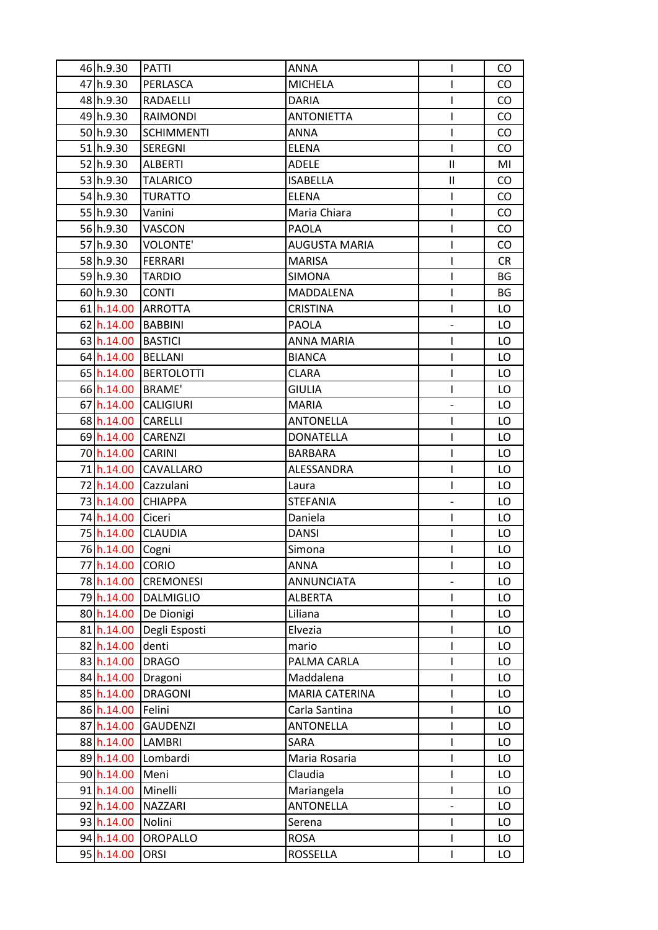| 46 h.9.30            | <b>PATTI</b>      | <b>ANNA</b>           | I                        | CO        |
|----------------------|-------------------|-----------------------|--------------------------|-----------|
| 47 h.9.30            | PERLASCA          | <b>MICHELA</b>        | T                        | CO        |
| 48 h.9.30            | RADAELLI          | <b>DARIA</b>          | T                        | CO        |
| 49 <sub>h.9.30</sub> | RAIMONDI          | <b>ANTONIETTA</b>     | I                        | CO        |
| 50h.9.30             | <b>SCHIMMENTI</b> | ANNA                  | T                        | <b>CO</b> |
| 51 <sub>h.9.30</sub> | SEREGNI           | <b>ELENA</b>          |                          | CO        |
| 52 h.9.30            | <b>ALBERTI</b>    | <b>ADELE</b>          | Ш                        | MI        |
| 53 h.9.30            | <b>TALARICO</b>   | <b>ISABELLA</b>       | Ш                        | <b>CO</b> |
| 54 h.9.30            | <b>TURATTO</b>    | <b>ELENA</b>          | I                        | CO        |
| 55 h.9.30            | Vanini            | Maria Chiara          | I                        | CO        |
| 56 h.9.30            | <b>VASCON</b>     | <b>PAOLA</b>          | I                        | CO        |
| 57h.9.30             | <b>VOLONTE'</b>   | <b>AUGUSTA MARIA</b>  | I                        | CO        |
| 58h.9.30             | <b>FERRARI</b>    | <b>MARISA</b>         | I                        | <b>CR</b> |
| 59 <sub>h.9.30</sub> | <b>TARDIO</b>     | <b>SIMONA</b>         | I                        | <b>BG</b> |
| 60 h.9.30            | <b>CONTI</b>      | MADDALENA             | I                        | BG        |
| 61 h.14.00           | <b>ARROTTA</b>    | <b>CRISTINA</b>       | I                        | LO        |
| 62 h.14.00           | BABBINI           | <b>PAOLA</b>          |                          | LO        |
| 63 h.14.00           | <b>BASTICI</b>    | <b>ANNA MARIA</b>     | I                        | LO        |
| 64 h.14.00           | BELLANI           | <b>BIANCA</b>         | ı                        | LO        |
| 65 h.14.00           | <b>BERTOLOTTI</b> | <b>CLARA</b>          | I                        | LO.       |
| 66 h.14.00           | BRAME'            | <b>GIULIA</b>         | T                        | LO        |
| 67 h.14.00           | <b>CALIGIURI</b>  | <b>MARIA</b>          |                          | LO        |
| 68 h.14.00           | <b>CARELLI</b>    | <b>ANTONELLA</b>      | I                        | LO        |
| 69 h.14.00           | <b>CARENZI</b>    | <b>DONATELLA</b>      | I                        | LO        |
| 70 h.14.00           | <b>CARINI</b>     | <b>BARBARA</b>        | I                        | LO        |
| 71 h.14.00           | <b>CAVALLARO</b>  | ALESSANDRA            | ı                        | LO        |
| 72 h.14.00           | Cazzulani         | Laura                 | T                        | LO        |
| 73 h.14.00           | <b>CHIAPPA</b>    | <b>STEFANIA</b>       | $\overline{\phantom{0}}$ | LO        |
| 74 h.14.00           | Ciceri            | Daniela               | I                        | LO        |
| 75 h.14.00           | <b>CLAUDIA</b>    | <b>DANSI</b>          | T                        | LO        |
| 76 h.14.00           | Cogni             | Simona                | T                        | LO        |
| 77 h.14.00           | <b>CORIO</b>      | <b>ANNA</b>           | I                        | LO        |
| 78 h.14.00           | <b>CREMONESI</b>  | <b>ANNUNCIATA</b>     | $\overline{\phantom{0}}$ | LO        |
| 79 h.14.00           | <b>DALMIGLIO</b>  | <b>ALBERTA</b>        | L                        | LO        |
| 80 h.14.00           | De Dionigi        | Liliana               | I                        | LO        |
| 81 h.14.00           | Degli Esposti     | Elvezia               | I                        | LO        |
| 82 h.14.00           | denti             | mario                 | L                        | LO        |
| 83 h.14.00           | <b>DRAGO</b>      | PALMA CARLA           | I                        | LO        |
| 84 h.14.00           | Dragoni           | Maddalena             | I                        | LO        |
| 85 h.14.00           | <b>DRAGONI</b>    | <b>MARIA CATERINA</b> | I                        | LO        |
| 86 h.14.00           | Felini            | Carla Santina         | I                        | LO        |
| 87 h.14.00           | <b>GAUDENZI</b>   | <b>ANTONELLA</b>      |                          | LO        |
| 88 h.14.00           | <b>LAMBRI</b>     | SARA                  | T                        | LO        |
| 89 h.14.00           | Lombardi          | Maria Rosaria         | ı                        | LO        |
| 90 h.14.00           | Meni              | Claudia               | ı                        | LO        |
| 91 h.14.00           | Minelli           | Mariangela            | I                        | LO        |
| 92 h.14.00           | <b>NAZZARI</b>    | <b>ANTONELLA</b>      |                          | LO        |
| 93 h.14.00           | Nolini            | Serena                | I                        | LO        |
| 94 h.14.00           | <b>OROPALLO</b>   | <b>ROSA</b>           | I                        | LO        |
| 95 h.14.00           | <b>ORSI</b>       | <b>ROSSELLA</b>       | I                        | LO        |